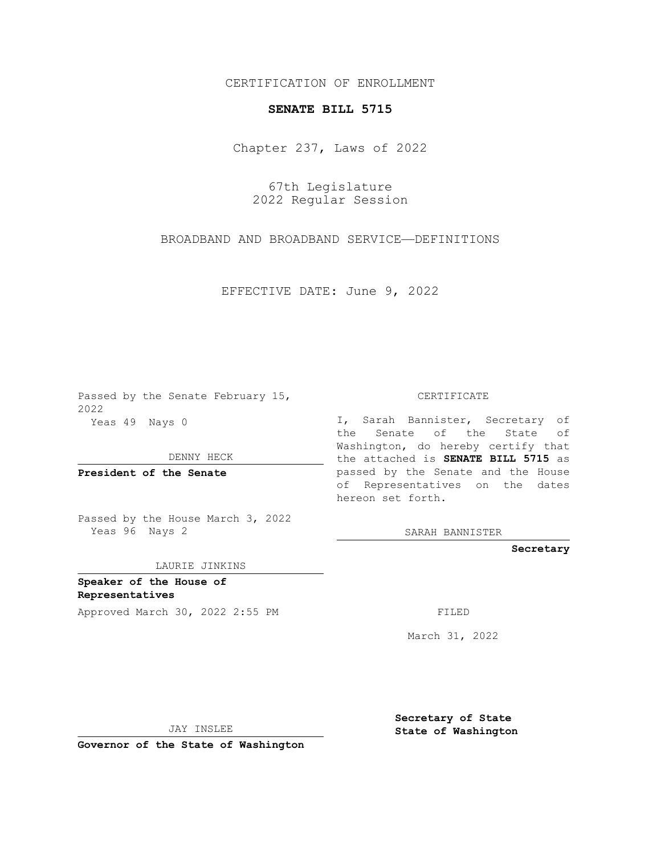## CERTIFICATION OF ENROLLMENT

## **SENATE BILL 5715**

Chapter 237, Laws of 2022

67th Legislature 2022 Regular Session

BROADBAND AND BROADBAND SERVICE—DEFINITIONS

EFFECTIVE DATE: June 9, 2022

Passed by the Senate February 15, 2022 Yeas 49 Nays 0

DENNY HECK

**President of the Senate**

Passed by the House March 3, 2022 Yeas 96 Nays 2

LAURIE JINKINS

**Speaker of the House of Representatives**

Approved March 30, 2022 2:55 PM

CERTIFICATE

I, Sarah Bannister, Secretary of the Senate of the State of Washington, do hereby certify that the attached is **SENATE BILL 5715** as passed by the Senate and the House of Representatives on the dates hereon set forth.

SARAH BANNISTER

**Secretary**

March 31, 2022

JAY INSLEE

**Governor of the State of Washington**

**Secretary of State State of Washington**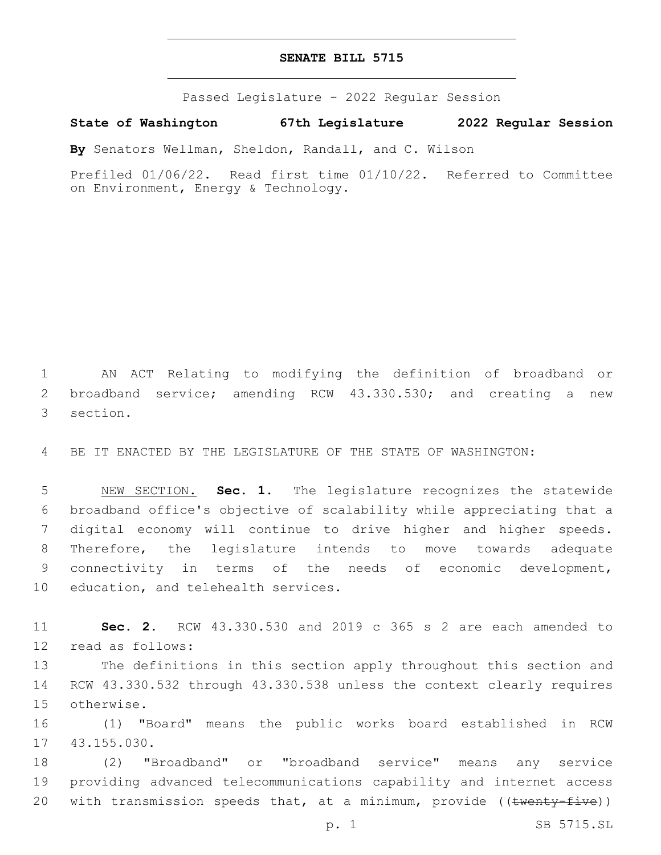## **SENATE BILL 5715**

Passed Legislature - 2022 Regular Session

**State of Washington 67th Legislature 2022 Regular Session**

**By** Senators Wellman, Sheldon, Randall, and C. Wilson

Prefiled 01/06/22. Read first time 01/10/22. Referred to Committee on Environment, Energy & Technology.

1 AN ACT Relating to modifying the definition of broadband or 2 broadband service; amending RCW 43.330.530; and creating a new 3 section.

4 BE IT ENACTED BY THE LEGISLATURE OF THE STATE OF WASHINGTON:

 NEW SECTION. **Sec. 1.** The legislature recognizes the statewide broadband office's objective of scalability while appreciating that a digital economy will continue to drive higher and higher speeds. Therefore, the legislature intends to move towards adequate connectivity in terms of the needs of economic development, education, and telehealth services.

11 **Sec. 2.** RCW 43.330.530 and 2019 c 365 s 2 are each amended to 12 read as follows:

13 The definitions in this section apply throughout this section and 14 RCW 43.330.532 through 43.330.538 unless the context clearly requires 15 otherwise.

16 (1) "Board" means the public works board established in RCW 17 43.155.030.

18 (2) "Broadband" or "broadband service" means any service 19 providing advanced telecommunications capability and internet access 20 with transmission speeds that, at a minimum, provide ((twenty-five))